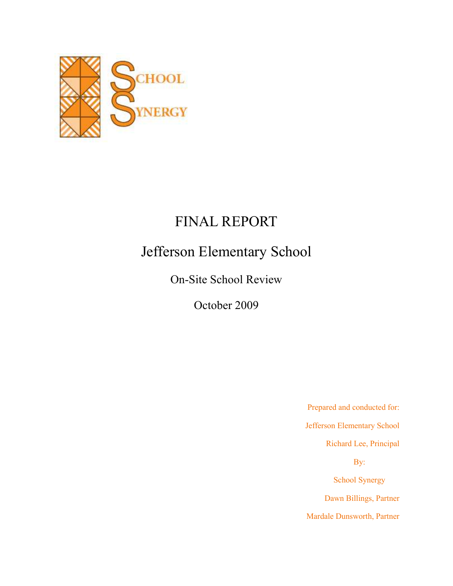

# FINAL REPORT

# Jefferson Elementary School

On-Site School Review

October 2009

Prepared and conducted for: Jefferson Elementary School Richard Lee, Principal By: School Synergy Dawn Billings, Partner Mardale Dunsworth, Partner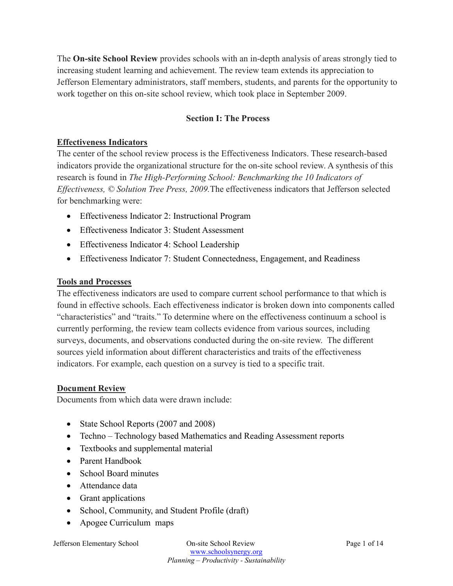The **On-site School Review** provides schools with an in-depth analysis of areas strongly tied to increasing student learning and achievement. The review team extends its appreciation to Jefferson Elementary administrators, staff members, students, and parents for the opportunity to work together on this on-site school review, which took place in September 2009.

## **Section I: The Process**

#### **Effectiveness Indicators**

The center of the school review process is the Effectiveness Indicators. These research-based indicators provide the organizational structure for the on-site school review. A synthesis of this research is found in *The High-Performing School: Benchmarking the 10 Indicators of Effectiveness, © Solution Tree Press, 2009.*The effectiveness indicators that Jefferson selected for benchmarking were:

- Effectiveness Indicator 2: Instructional Program
- Effectiveness Indicator 3: Student Assessment
- Effectiveness Indicator 4: School Leadership
- Effectiveness Indicator 7: Student Connectedness, Engagement, and Readiness

#### **Tools and Processes**

The effectiveness indicators are used to compare current school performance to that which is found in effective schools. Each effectiveness indicator is broken down into components called "characteristics" and "traits." To determine where on the effectiveness continuum a school is currently performing, the review team collects evidence from various sources, including surveys, documents, and observations conducted during the on-site review. The different sources yield information about different characteristics and traits of the effectiveness indicators. For example, each question on a survey is tied to a specific trait.

#### **Document Review**

Documents from which data were drawn include:

- State School Reports (2007 and 2008)
- Techno Technology based Mathematics and Reading Assessment reports
- Textbooks and supplemental material
- Parent Handbook
- School Board minutes
- Attendance data
- Grant applications
- School, Community, and Student Profile (draft)
- Apogee Curriculum maps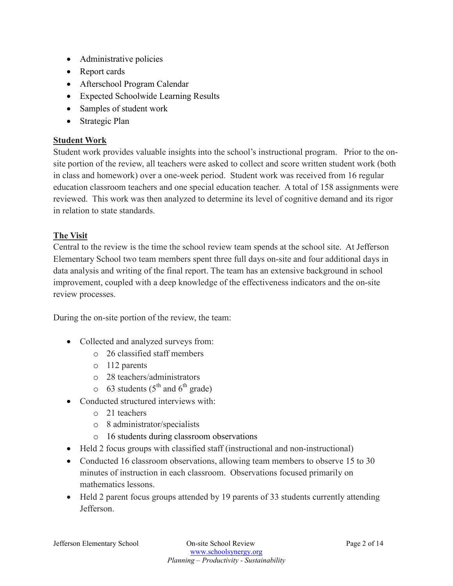- Administrative policies
- Report cards
- Afterschool Program Calendar
- Expected Schoolwide Learning Results
- Samples of student work
- Strategic Plan

### **Student Work**

Student work provides valuable insights into the school's instructional program. Prior to the onsite portion of the review, all teachers were asked to collect and score written student work (both in class and homework) over a one-week period. Student work was received from 16 regular education classroom teachers and one special education teacher. A total of 158 assignments were reviewed. This work was then analyzed to determine its level of cognitive demand and its rigor in relation to state standards.

## **The Visit**

Central to the review is the time the school review team spends at the school site. At Jefferson Elementary School two team members spent three full days on-site and four additional days in data analysis and writing of the final report. The team has an extensive background in school improvement, coupled with a deep knowledge of the effectiveness indicators and the on-site review processes.

During the on-site portion of the review, the team:

- Collected and analyzed surveys from:
	- o 26 classified staff members
	- o 112 parents
	- o 28 teachers/administrators
	- $\circ$  63 students (5<sup>th</sup> and 6<sup>th</sup> grade)
- Conducted structured interviews with
	- o 21 teachers
	- o 8 administrator/specialists
	- o 16 students during classroom observations
- Held 2 focus groups with classified staff (instructional and non-instructional)
- Conducted 16 classroom observations, allowing team members to observe 15 to 30 minutes of instruction in each classroom. Observations focused primarily on mathematics lessons.
- Held 2 parent focus groups attended by 19 parents of 33 students currently attending Jefferson.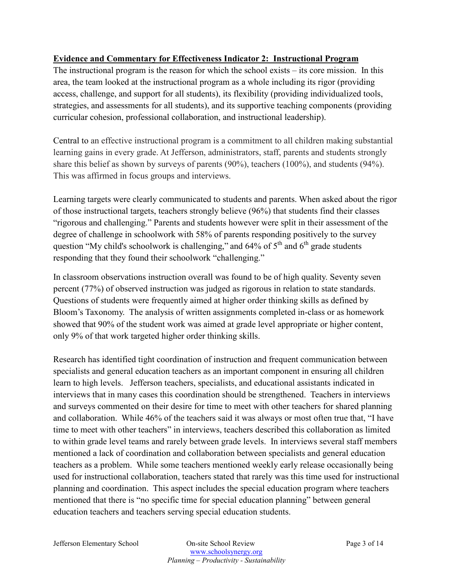## **Evidence and Commentary for Effectiveness Indicator 2: Instructional Program**

The instructional program is the reason for which the school exists – its core mission. In this area, the team looked at the instructional program as a whole including its rigor (providing access, challenge, and support for all students), its flexibility (providing individualized tools, strategies, and assessments for all students), and its supportive teaching components (providing curricular cohesion, professional collaboration, and instructional leadership).

Central to an effective instructional program is a commitment to all children making substantial learning gains in every grade. At Jefferson, administrators, staff, parents and students strongly share this belief as shown by surveys of parents (90%), teachers (100%), and students (94%). This was affirmed in focus groups and interviews.

Learning targets were clearly communicated to students and parents. When asked about the rigor of those instructional targets, teachers strongly believe (96%) that students find their classes "rigorous and challenging." Parents and students however were split in their assessment of the degree of challenge in schoolwork with 58% of parents responding positively to the survey question "My child's schoolwork is challenging," and  $64\%$  of  $5<sup>th</sup>$  and  $6<sup>th</sup>$  grade students responding that they found their schoolwork "challenging."

In classroom observations instruction overall was found to be of high quality. Seventy seven percent (77%) of observed instruction was judged as rigorous in relation to state standards. Questions of students were frequently aimed at higher order thinking skills as defined by Bloom's Taxonomy. The analysis of written assignments completed in-class or as homework showed that 90% of the student work was aimed at grade level appropriate or higher content, only 9% of that work targeted higher order thinking skills.

Research has identified tight coordination of instruction and frequent communication between specialists and general education teachers as an important component in ensuring all children learn to high levels. Jefferson teachers, specialists, and educational assistants indicated in interviews that in many cases this coordination should be strengthened. Teachers in interviews and surveys commented on their desire for time to meet with other teachers for shared planning and collaboration. While 46% of the teachers said it was always or most often true that, "I have time to meet with other teachers" in interviews, teachers described this collaboration as limited to within grade level teams and rarely between grade levels. In interviews several staff members mentioned a lack of coordination and collaboration between specialists and general education teachers as a problem. While some teachers mentioned weekly early release occasionally being used for instructional collaboration, teachers stated that rarely was this time used for instructional planning and coordination. This aspect includes the special education program where teachers mentioned that there is "no specific time for special education planning" between general education teachers and teachers serving special education students.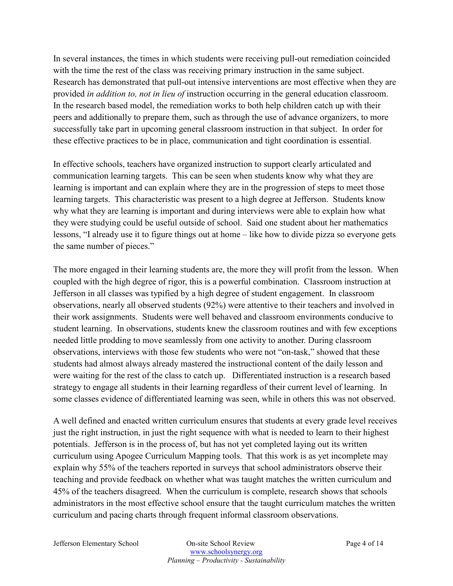In several instances, the times in which students were receiving pull-out remediation coincided with the time the rest of the class was receiving primary instruction in the same subject. Research has demonstrated that pull-out intensive interventions are most effective when they are provided *in addition to, not in lieu of* instruction occurring in the general education classroom. In the research based model, the remediation works to both help children catch up with their peers and additionally to prepare them, such as through the use of advance organizers, to more successfully take part in upcoming general classroom instruction in that subject. In order for these effective practices to be in place, communication and tight coordination is essential.

In effective schools, teachers have organized instruction to support clearly articulated and communication learning targets. This can be seen when students know why what they are learning is important and can explain where they are in the progression of steps to meet those learning targets. This characteristic was present to a high degree at Jefferson. Students know why what they are learning is important and during interviews were able to explain how what they were studying could be useful outside of school. Said one student about her mathematics lessons, "I already use it to figure things out at home – like how to divide pizza so everyone gets the same number of pieces."

The more engaged in their learning students are, the more they will profit from the lesson. When coupled with the high degree of rigor, this is a powerful combination. Classroom instruction at Jefferson in all classes was typified by a high degree of student engagement. In classroom observations, nearly all observed students (92%) were attentive to their teachers and involved in their work assignments. Students were well behaved and classroom environments conducive to student learning. In observations, students knew the classroom routines and with few exceptions needed little prodding to move seamlessly from one activity to another. During classroom observations, interviews with those few students who were not "on-task," showed that these students had almost always already mastered the instructional content of the daily lesson and were waiting for the rest of the class to catch up. Differentiated instruction is a research based strategy to engage all students in their learning regardless of their current level of learning. In some classes evidence of differentiated learning was seen, while in others this was not observed.

A well defined and enacted written curriculum ensures that students at every grade level receives just the right instruction, in just the right sequence with what is needed to learn to their highest potentials. Jefferson is in the process of, but has not yet completed laying out its written curriculum using Apogee Curriculum Mapping tools. That this work is as yet incomplete may explain why 55% of the teachers reported in surveys that school administrators observe their teaching and provide feedback on whether what was taught matches the written curriculum and 45% of the teachers disagreed. When the curriculum is complete, research shows that schools administrators in the most effective school ensure that the taught curriculum matches the written curriculum and pacing charts through frequent informal classroom observations.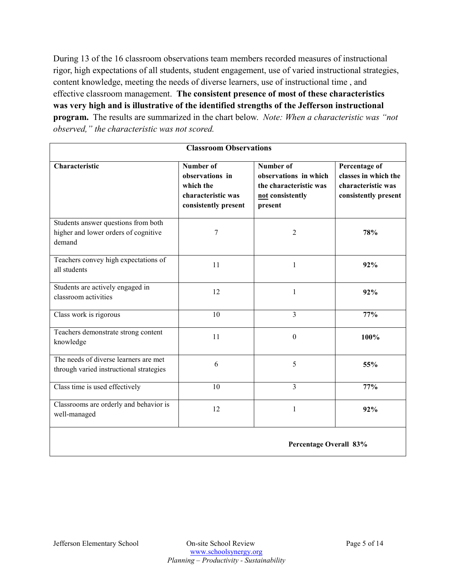During 13 of the 16 classroom observations team members recorded measures of instructional rigor, high expectations of all students, student engagement, use of varied instructional strategies, content knowledge, meeting the needs of diverse learners, use of instructional time , and effective classroom management. **The consistent presence of most of these characteristics was very high and is illustrative of the identified strengths of the Jefferson instructional program.** The results are summarized in the chart below. *Note: When a characteristic was "not observed," the characteristic was not scored.* 

| <b>Classroom Observations</b>                                                         |                                                                                         |                                                                                             |                                                                                     |
|---------------------------------------------------------------------------------------|-----------------------------------------------------------------------------------------|---------------------------------------------------------------------------------------------|-------------------------------------------------------------------------------------|
| Characteristic                                                                        | Number of<br>observations in<br>which the<br>characteristic was<br>consistently present | Number of<br>observations in which<br>the characteristic was<br>not consistently<br>present | Percentage of<br>classes in which the<br>characteristic was<br>consistently present |
| Students answer questions from both<br>higher and lower orders of cognitive<br>demand | 7                                                                                       | $\overline{2}$                                                                              | 78%                                                                                 |
| Teachers convey high expectations of<br>all students                                  | 11                                                                                      | 1                                                                                           | 92%                                                                                 |
| Students are actively engaged in<br>classroom activities                              | 12                                                                                      | $\mathbf{1}$                                                                                | 92%                                                                                 |
| Class work is rigorous                                                                | 10                                                                                      | 3                                                                                           | 77%                                                                                 |
| Teachers demonstrate strong content<br>knowledge                                      | 11                                                                                      | $\boldsymbol{0}$                                                                            | 100%                                                                                |
| The needs of diverse learners are met<br>through varied instructional strategies      | 6                                                                                       | 5                                                                                           | 55%                                                                                 |
| Class time is used effectively                                                        | 10                                                                                      | 3                                                                                           | 77%                                                                                 |
| Classrooms are orderly and behavior is<br>well-managed                                | 12                                                                                      | $\mathbf{1}$                                                                                | 92%                                                                                 |
| Percentage Overall 83%                                                                |                                                                                         |                                                                                             |                                                                                     |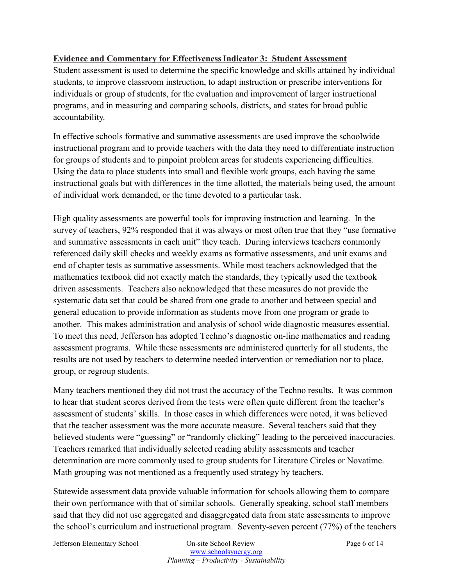## **Evidence and Commentary for Effectiveness Indicator 3: Student Assessment**

Student assessment is used to determine the specific knowledge and skills attained by individual students, to improve classroom instruction, to adapt instruction or prescribe interventions for individuals or group of students, for the evaluation and improvement of larger instructional programs, and in measuring and comparing schools, districts, and states for broad public accountability.

In effective schools formative and summative assessments are used improve the schoolwide instructional program and to provide teachers with the data they need to differentiate instruction for groups of students and to pinpoint problem areas for students experiencing difficulties. Using the data to place students into small and flexible work groups, each having the same instructional goals but with differences in the time allotted, the materials being used, the amount of individual work demanded, or the time devoted to a particular task.

High quality assessments are powerful tools for improving instruction and learning. In the survey of teachers, 92% responded that it was always or most often true that they "use formative and summative assessments in each unit" they teach. During interviews teachers commonly referenced daily skill checks and weekly exams as formative assessments, and unit exams and end of chapter tests as summative assessments. While most teachers acknowledged that the mathematics textbook did not exactly match the standards, they typically used the textbook driven assessments. Teachers also acknowledged that these measures do not provide the systematic data set that could be shared from one grade to another and between special and general education to provide information as students move from one program or grade to another. This makes administration and analysis of school wide diagnostic measures essential. To meet this need, Jefferson has adopted Techno's diagnostic on-line mathematics and reading assessment programs. While these assessments are administered quarterly for all students, the results are not used by teachers to determine needed intervention or remediation nor to place, group, or regroup students.

Many teachers mentioned they did not trust the accuracy of the Techno results. It was common to hear that student scores derived from the tests were often quite different from the teacher's assessment of students' skills. In those cases in which differences were noted, it was believed that the teacher assessment was the more accurate measure. Several teachers said that they believed students were "guessing" or "randomly clicking" leading to the perceived inaccuracies. Teachers remarked that individually selected reading ability assessments and teacher determination are more commonly used to group students for Literature Circles or Novatime. Math grouping was not mentioned as a frequently used strategy by teachers.

Statewide assessment data provide valuable information for schools allowing them to compare their own performance with that of similar schools. Generally speaking, school staff members said that they did not use aggregated and disaggregated data from state assessments to improve the school's curriculum and instructional program. Seventy-seven percent (77%) of the teachers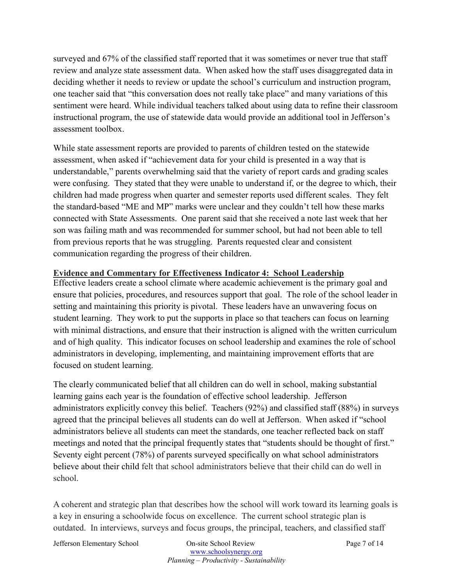surveyed and 67% of the classified staff reported that it was sometimes or never true that staff review and analyze state assessment data. When asked how the staff uses disaggregated data in deciding whether it needs to review or update the school's curriculum and instruction program, one teacher said that "this conversation does not really take place" and many variations of this sentiment were heard. While individual teachers talked about using data to refine their classroom instructional program, the use of statewide data would provide an additional tool in Jefferson's assessment toolbox.

While state assessment reports are provided to parents of children tested on the statewide assessment, when asked if "achievement data for your child is presented in a way that is understandable," parents overwhelming said that the variety of report cards and grading scales were confusing. They stated that they were unable to understand if, or the degree to which, their children had made progress when quarter and semester reports used different scales. They felt the standard-based "ME and MP" marks were unclear and they couldn't tell how these marks connected with State Assessments. One parent said that she received a note last week that her son was failing math and was recommended for summer school, but had not been able to tell from previous reports that he was struggling. Parents requested clear and consistent communication regarding the progress of their children.

#### **Evidence and Commentary for Effectiveness Indicator 4: School Leadership**

Effective leaders create a school climate where academic achievement is the primary goal and ensure that policies, procedures, and resources support that goal. The role of the school leader in setting and maintaining this priority is pivotal. These leaders have an unwavering focus on student learning. They work to put the supports in place so that teachers can focus on learning with minimal distractions, and ensure that their instruction is aligned with the written curriculum and of high quality. This indicator focuses on school leadership and examines the role of school administrators in developing, implementing, and maintaining improvement efforts that are focused on student learning.

The clearly communicated belief that all children can do well in school, making substantial learning gains each year is the foundation of effective school leadership. Jefferson administrators explicitly convey this belief. Teachers (92%) and classified staff (88%) in surveys agreed that the principal believes all students can do well at Jefferson. When asked if "school administrators believe all students can meet the standards, one teacher reflected back on staff meetings and noted that the principal frequently states that "students should be thought of first." Seventy eight percent (78%) of parents surveyed specifically on what school administrators believe about their child felt that school administrators believe that their child can do well in school.

A coherent and strategic plan that describes how the school will work toward its learning goals is a key in ensuring a schoolwide focus on excellence. The current school strategic plan is outdated. In interviews, surveys and focus groups, the principal, teachers, and classified staff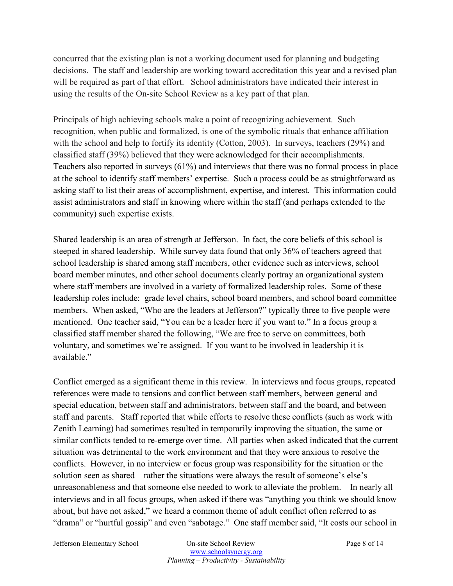concurred that the existing plan is not a working document used for planning and budgeting decisions. The staff and leadership are working toward accreditation this year and a revised plan will be required as part of that effort. School administrators have indicated their interest in using the results of the On-site School Review as a key part of that plan.

Principals of high achieving schools make a point of recognizing achievement. Such recognition, when public and formalized, is one of the symbolic rituals that enhance affiliation with the school and help to fortify its identity (Cotton, 2003). In surveys, teachers (29%) and classified staff (39%) believed that they were acknowledged for their accomplishments. Teachers also reported in surveys (61%) and interviews that there was no formal process in place at the school to identify staff members' expertise. Such a process could be as straightforward as asking staff to list their areas of accomplishment, expertise, and interest. This information could assist administrators and staff in knowing where within the staff (and perhaps extended to the community) such expertise exists.

Shared leadership is an area of strength at Jefferson. In fact, the core beliefs of this school is steeped in shared leadership. While survey data found that only 36% of teachers agreed that school leadership is shared among staff members, other evidence such as interviews, school board member minutes, and other school documents clearly portray an organizational system where staff members are involved in a variety of formalized leadership roles. Some of these leadership roles include: grade level chairs, school board members, and school board committee members. When asked, "Who are the leaders at Jefferson?" typically three to five people were mentioned. One teacher said, "You can be a leader here if you want to." In a focus group a classified staff member shared the following, "We are free to serve on committees, both voluntary, and sometimes we're assigned. If you want to be involved in leadership it is available."

Conflict emerged as a significant theme in this review. In interviews and focus groups, repeated references were made to tensions and conflict between staff members, between general and special education, between staff and administrators, between staff and the board, and between staff and parents. Staff reported that while efforts to resolve these conflicts (such as work with Zenith Learning) had sometimes resulted in temporarily improving the situation, the same or similar conflicts tended to re-emerge over time. All parties when asked indicated that the current situation was detrimental to the work environment and that they were anxious to resolve the conflicts. However, in no interview or focus group was responsibility for the situation or the solution seen as shared – rather the situations were always the result of someone's else's unreasonableness and that someone else needed to work to alleviate the problem. In nearly all interviews and in all focus groups, when asked if there was "anything you think we should know about, but have not asked," we heard a common theme of adult conflict often referred to as "drama" or "hurtful gossip" and even "sabotage." One staff member said, "It costs our school in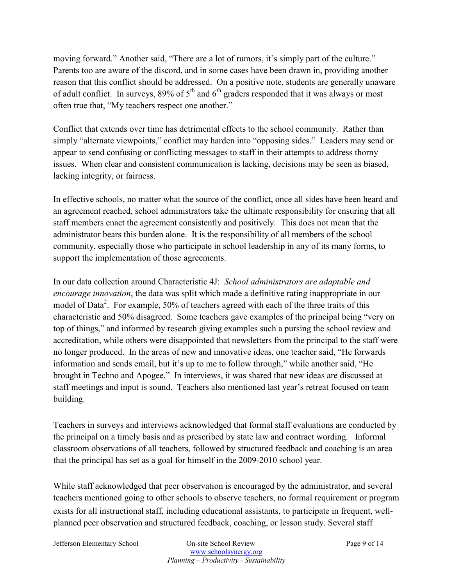moving forward." Another said, "There are a lot of rumors, it's simply part of the culture." Parents too are aware of the discord, and in some cases have been drawn in, providing another reason that this conflict should be addressed. On a positive note, students are generally unaware of adult conflict. In surveys,  $89\%$  of  $5<sup>th</sup>$  and  $6<sup>th</sup>$  graders responded that it was always or most often true that, "My teachers respect one another."

Conflict that extends over time has detrimental effects to the school community. Rather than simply "alternate viewpoints," conflict may harden into "opposing sides." Leaders may send or appear to send confusing or conflicting messages to staff in their attempts to address thorny issues. When clear and consistent communication is lacking, decisions may be seen as biased, lacking integrity, or fairness.

In effective schools, no matter what the source of the conflict, once all sides have been heard and an agreement reached, school administrators take the ultimate responsibility for ensuring that all staff members enact the agreement consistently and positively. This does not mean that the administrator bears this burden alone. It is the responsibility of all members of the school community, especially those who participate in school leadership in any of its many forms, to support the implementation of those agreements.

In our data collection around Characteristic 4J: *School administrators are adaptable and encourage innovation*, the data was split which made a definitive rating inappropriate in our model of Data<sup>2</sup>. For example, 50% of teachers agreed with each of the three traits of this characteristic and 50% disagreed. Some teachers gave examples of the principal being "very on top of things," and informed by research giving examples such a pursing the school review and accreditation, while others were disappointed that newsletters from the principal to the staff were no longer produced. In the areas of new and innovative ideas, one teacher said, "He forwards information and sends email, but it's up to me to follow through," while another said, "He brought in Techno and Apogee." In interviews, it was shared that new ideas are discussed at staff meetings and input is sound. Teachers also mentioned last year's retreat focused on team building.

Teachers in surveys and interviews acknowledged that formal staff evaluations are conducted by the principal on a timely basis and as prescribed by state law and contract wording. Informal classroom observations of all teachers, followed by structured feedback and coaching is an area that the principal has set as a goal for himself in the 2009-2010 school year.

While staff acknowledged that peer observation is encouraged by the administrator, and several teachers mentioned going to other schools to observe teachers, no formal requirement or program exists for all instructional staff, including educational assistants, to participate in frequent, wellplanned peer observation and structured feedback, coaching, or lesson study. Several staff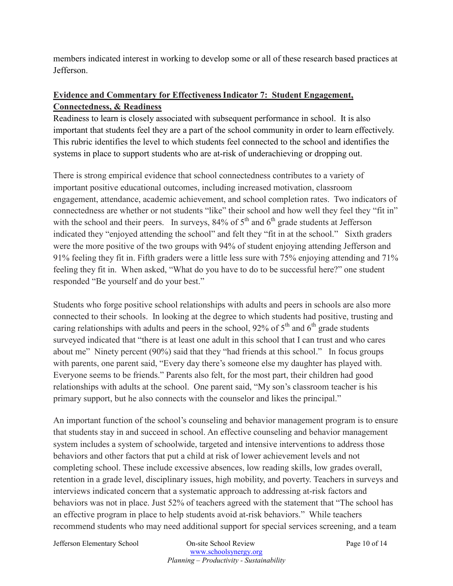members indicated interest in working to develop some or all of these research based practices at Jefferson.

# **Evidence and Commentary for Effectiveness Indicator 7: Student Engagement, Connectedness, & Readiness**

Readiness to learn is closely associated with subsequent performance in school. It is also important that students feel they are a part of the school community in order to learn effectively. This rubric identifies the level to which students feel connected to the school and identifies the systems in place to support students who are at-risk of underachieving or dropping out.

There is strong empirical evidence that school connectedness contributes to a variety of important positive educational outcomes, including increased motivation, classroom engagement, attendance, academic achievement, and school completion rates. Two indicators of connectedness are whether or not students "like" their school and how well they feel they "fit in" with the school and their peers. In surveys,  $84\%$  of  $5<sup>th</sup>$  and  $6<sup>th</sup>$  grade students at Jefferson indicated they "enjoyed attending the school" and felt they "fit in at the school." Sixth graders were the more positive of the two groups with 94% of student enjoying attending Jefferson and 91% feeling they fit in. Fifth graders were a little less sure with 75% enjoying attending and 71% feeling they fit in. When asked, "What do you have to do to be successful here?" one student responded "Be yourself and do your best."

Students who forge positive school relationships with adults and peers in schools are also more connected to their schools. In looking at the degree to which students had positive, trusting and caring relationships with adults and peers in the school, 92% of  $5<sup>th</sup>$  and  $6<sup>th</sup>$  grade students surveyed indicated that "there is at least one adult in this school that I can trust and who cares about me" Ninety percent (90%) said that they "had friends at this school." In focus groups with parents, one parent said, "Every day there's someone else my daughter has played with. Everyone seems to be friends." Parents also felt, for the most part, their children had good relationships with adults at the school. One parent said, "My son's classroom teacher is his primary support, but he also connects with the counselor and likes the principal."

An important function of the school's counseling and behavior management program is to ensure that students stay in and succeed in school. An effective counseling and behavior management system includes a system of schoolwide, targeted and intensive interventions to address those behaviors and other factors that put a child at risk of lower achievement levels and not completing school. These include excessive absences, low reading skills, low grades overall, retention in a grade level, disciplinary issues, high mobility, and poverty. Teachers in surveys and interviews indicated concern that a systematic approach to addressing at-risk factors and behaviors was not in place. Just 52% of teachers agreed with the statement that "The school has an effective program in place to help students avoid at-risk behaviors." While teachers recommend students who may need additional support for special services screening, and a team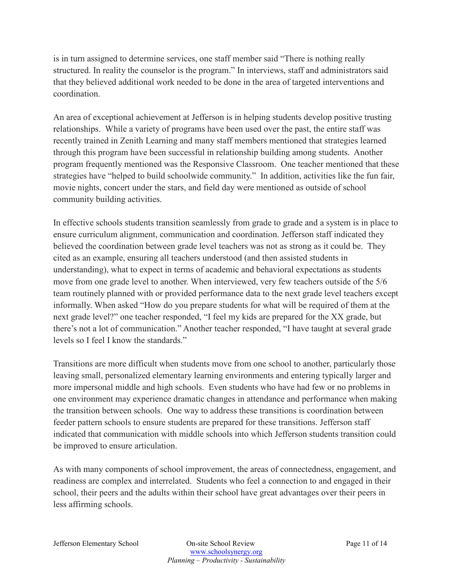is in turn assigned to determine services, one staff member said "There is nothing really structured. In reality the counselor is the program." In interviews, staff and administrators said that they believed additional work needed to be done in the area of targeted interventions and coordination.

An area of exceptional achievement at Jefferson is in helping students develop positive trusting relationships. While a variety of programs have been used over the past, the entire staff was recently trained in Zenith Learning and many staff members mentioned that strategies learned through this program have been successful in relationship building among students. Another program frequently mentioned was the Responsive Classroom. One teacher mentioned that these strategies have "helped to build schoolwide community." In addition, activities like the fun fair, movie nights, concert under the stars, and field day were mentioned as outside of school community building activities.

In effective schools students transition seamlessly from grade to grade and a system is in place to ensure curriculum alignment, communication and coordination. Jefferson staff indicated they believed the coordination between grade level teachers was not as strong as it could be. They cited as an example, ensuring all teachers understood (and then assisted students in understanding), what to expect in terms of academic and behavioral expectations as students move from one grade level to another. When interviewed, very few teachers outside of the 5/6 team routinely planned with or provided performance data to the next grade level teachers except informally. When asked "How do you prepare students for what will be required of them at the next grade level?" one teacher responded, "I feel my kids are prepared for the XX grade, but there's not a lot of communication." Another teacher responded, "I have taught at several grade levels so I feel I know the standards."

Transitions are more difficult when students move from one school to another, particularly those leaving small, personalized elementary learning environments and entering typically larger and more impersonal middle and high schools. Even students who have had few or no problems in one environment may experience dramatic changes in attendance and performance when making the transition between schools. One way to address these transitions is coordination between feeder pattern schools to ensure students are prepared for these transitions. Jefferson staff indicated that communication with middle schools into which Jefferson students transition could be improved to ensure articulation.

As with many components of school improvement, the areas of connectedness, engagement, and readiness are complex and interrelated. Students who feel a connection to and engaged in their school, their peers and the adults within their school have great advantages over their peers in less affirming schools.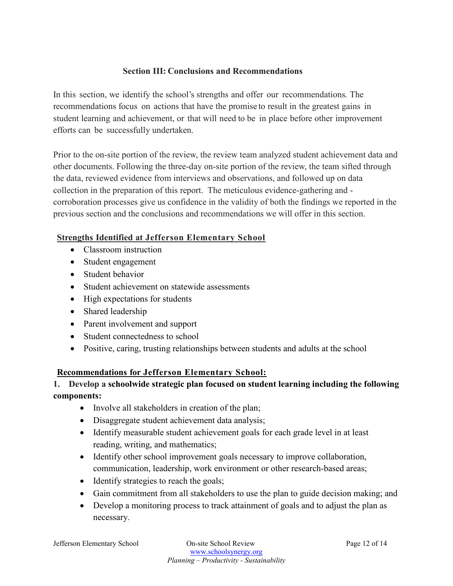## **Section III: Conclusions and Recommendations**

In this section, we identify the school's strengths and offer our recommendations. The recommendations focus on actions that have the promise to result in the greatest gains in student learning and achievement, or that will need to be in place before other improvement efforts can be successfully undertaken.

Prior to the on-site portion of the review, the review team analyzed student achievement data and other documents. Following the three-day on-site portion of the review, the team sifted through the data, reviewed evidence from interviews and observations, and followed up on data collection in the preparation of this report. The meticulous evidence-gathering and corroboration processes give us confidence in the validity of both the findings we reported in the previous section and the conclusions and recommendations we will offer in this section.

#### **Strengths Identified at Jefferson Elementary School**

- Classroom instruction
- Student engagement
- Student behavior
- Student achievement on statewide assessments
- High expectations for students
- Shared leadership
- Parent involvement and support
- Student connectedness to school
- Positive, caring, trusting relationships between students and adults at the school

## **Recommendations for Jefferson Elementary School:**

## **1. Develop a schoolwide strategic plan focused on student learning including the following components:**

- Involve all stakeholders in creation of the plan;
- Disaggregate student achievement data analysis;
- Identify measurable student achievement goals for each grade level in at least reading, writing, and mathematics;
- Identify other school improvement goals necessary to improve collaboration, communication, leadership, work environment or other research-based areas;
- Identify strategies to reach the goals;
- Gain commitment from all stakeholders to use the plan to guide decision making; and
- Develop a monitoring process to track attainment of goals and to adjust the plan as necessary.